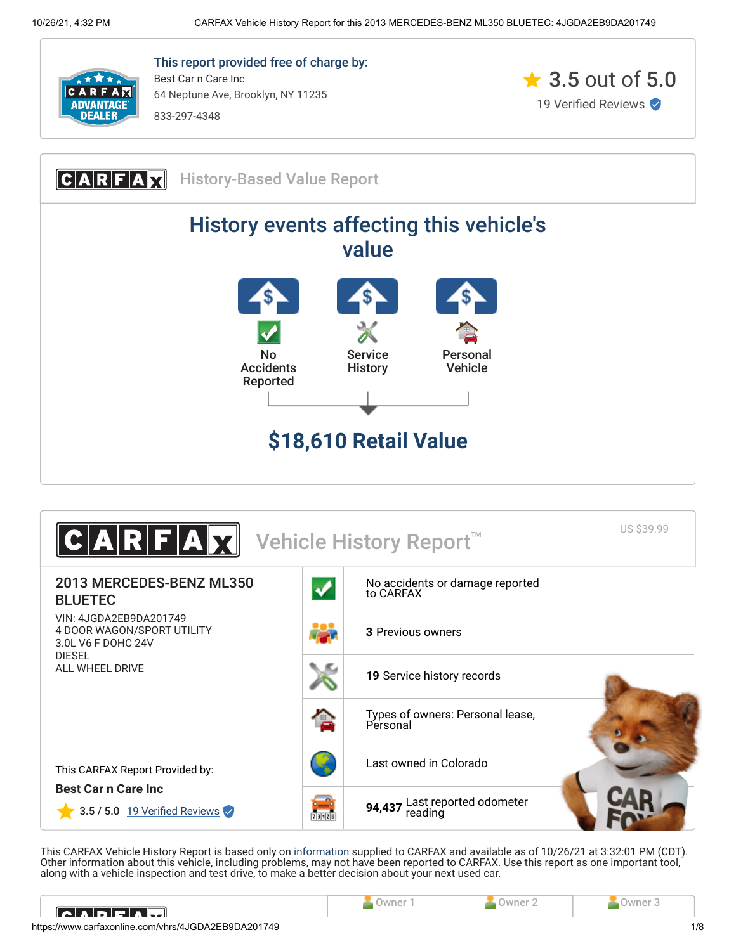

This report provided free of charge by: Best Car n Care Inc 64 Neptune Ave, Brooklyn, NY 11235

833-297-4348







This CARFAX Vehicle History Report is based only on [information](http://www.carfax.com/company/vhr-data-sources) supplied to CARFAX and available as of 10/26/21 at 3:32:01 PM (CDT). Other information about this vehicle, including problems, may not have been reported to CARFAX. Use this report as one important tool, along with a vehicle inspection and test drive, to make a better decision about your next used car.

<span id="page-0-0"></span>

| IC ADE AM                                           |  | <b>Jwne</b> |
|-----------------------------------------------------|--|-------------|
| https://www.carfaxonline.com/vhrs/4JGDA2EB9DA201749 |  | 1/8         |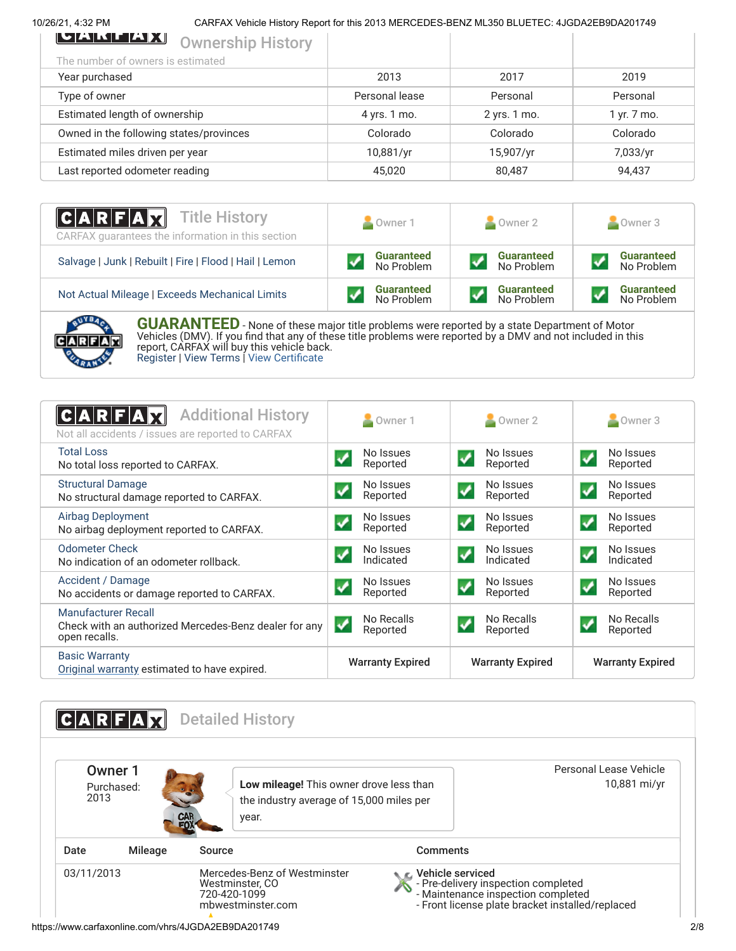# 10/26/21, 4:32 PM CARFAX Vehicle History Report for this 2013 MERCEDES-BENZ ML350 BLUETEC: 4JGDA2EB9DA201749

| 2013           | 2017         | 2019        |
|----------------|--------------|-------------|
| Personal lease | Personal     | Personal    |
| 4 yrs. 1 mo.   | 2 yrs. 1 mo. | 1 yr. 7 mo. |
| Colorado       | Colorado     | Colorado    |
| 10,881/yr      | 15,907/yr    | 7,033/yr    |
| 45,020         | 80,487       | 94,437      |
|                |              |             |

| <b>CARFAX</b> Title History<br>CARFAX guarantees the information in this section | Owner 1                         | $\sim$ Owner 2                  | Owner 3                         |  |
|----------------------------------------------------------------------------------|---------------------------------|---------------------------------|---------------------------------|--|
| Salvage   Junk   Rebuilt   Fire   Flood   Hail   Lemon                           | <b>Guaranteed</b><br>No Problem | <b>Guaranteed</b><br>No Problem | <b>Guaranteed</b><br>No Problem |  |
| Not Actual Mileage   Exceeds Mechanical Limits                                   | <b>Guaranteed</b><br>No Problem | <b>Guaranteed</b><br>No Problem | <b>Guaranteed</b><br>No Problem |  |



**GUARANTEED** - None of these major title problems were reported by a state Department of Motor Vehicles (DMV). If you find that any of these title problems were reported by a DMV and not included in this report, CARFAX will buy this vehicle back. [Register](https://www.carfax.com/Service/bbg) | [View Terms](http://www.carfaxonline.com/legal/bbgTerms) | [View Certificate](https://www.carfaxonline.com/vhrs/4JGDA2EB9DA201749)

<span id="page-1-0"></span>

| <b>Additional History</b><br>ICARF<br>Not all accidents / issues are reported to CARFAX       | Owner 1                                              | $\sim$ Owner 2                                      | Owner 3                                       |
|-----------------------------------------------------------------------------------------------|------------------------------------------------------|-----------------------------------------------------|-----------------------------------------------|
| <b>Total Loss</b><br>No total loss reported to CARFAX.                                        | No Issues<br>$\blacktriangledown$<br>Reported        | No Issues<br>$\blacktriangledown$<br>Reported       | No Issues<br>$\blacktriangledown$<br>Reported |
| <b>Structural Damage</b><br>No structural damage reported to CARFAX.                          | No Issues<br>Reported                                | No Issues<br>$\boldsymbol{\mathcal{J}}$<br>Reported | No Issues<br>↵<br>Reported                    |
| <b>Airbag Deployment</b><br>No airbag deployment reported to CARFAX.                          | No Issues<br>Reported                                | No Issues<br>$\boldsymbol{\mathcal{L}}$<br>Reported | No Issues<br>$\checkmark$<br>Reported         |
| <b>Odometer Check</b><br>No indication of an odometer rollback.                               | No Issues<br>$\boldsymbol{\mathcal{N}}$<br>Indicated | No Issues<br>$\boldsymbol{N}$<br>Indicated          | No Issues<br>$\boldsymbol{V}$<br>Indicated    |
| Accident / Damage<br>No accidents or damage reported to CARFAX.                               | No Issues<br>Reported                                | No Issues<br>$\blacktriangledown$<br>Reported       | No Issues<br>$\checkmark$<br>Reported         |
| Manufacturer Recall<br>Check with an authorized Mercedes-Benz dealer for any<br>open recalls. | No Recalls<br>$\checkmark$<br>Reported               | No Recalls<br>Reported                              | No Recalls<br>$\checkmark$<br>Reported        |
| <b>Basic Warranty</b><br>Original warranty estimated to have expired.                         | <b>Warranty Expired</b>                              | <b>Warranty Expired</b>                             | <b>Warranty Expired</b>                       |

<span id="page-1-1"></span>**CARFAX** Detailed History Personal Lease Vehicle Owner 1 10,881 mi/yr **Low mileage!** This owner drove less than Purchased: 2013 the industry average of 15,000 miles per year. Date Mileage Source **Comments** 03/11/2013 Mercedes-Benz of Westminster Vehicle serviced - Pre-delivery inspection completed Westminster, CO S 720-420-1099 - Maintenance inspection completed mbwestminster.com - Front license plate bracket installed/replaced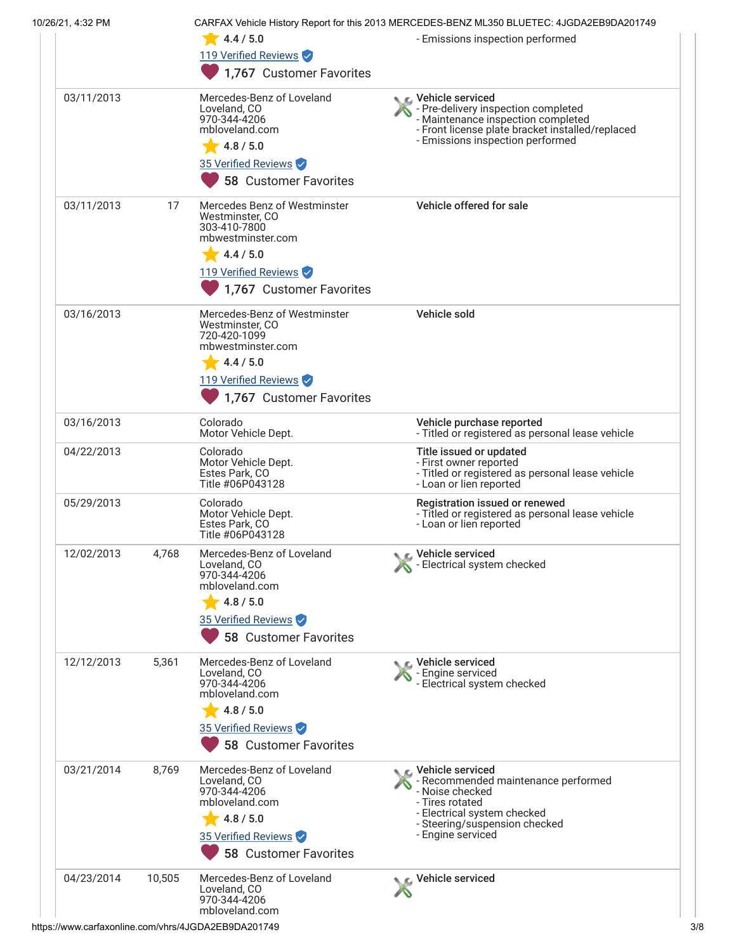| 10/26/21, 4:32 PM |        | 4.4 / 5.0<br>119 Verified Reviews                                                                                                                     | CARFAX Vehicle History Report for this 2013 MERCEDES-BENZ ML350 BLUETEC: 4JGDA2EB9DA201749<br>- Emissions inspection performed                                                                |
|-------------------|--------|-------------------------------------------------------------------------------------------------------------------------------------------------------|-----------------------------------------------------------------------------------------------------------------------------------------------------------------------------------------------|
|                   |        | 1,767 Customer Favorites                                                                                                                              |                                                                                                                                                                                               |
| 03/11/2013        |        | Mercedes-Benz of Loveland<br>Loveland, CO<br>970-344-4206<br>mbloveland.com<br>4.8 / 5.0<br>35 Verified Reviews<br><b>58 Customer Favorites</b>       | C Vehicle serviced<br>Pre-delivery inspection completed<br>- Maintenance inspection completed<br>- Front license plate bracket installed/replaced<br>- Emissions inspection performed         |
| 03/11/2013        | 17     | Mercedes Benz of Westminster<br>Westminster, CO<br>303-410-7800<br>mbwestminster.com<br>4.4 / 5.0<br>119 Verified Reviews<br>1,767 Customer Favorites | Vehicle offered for sale                                                                                                                                                                      |
| 03/16/2013        |        | Mercedes-Benz of Westminster<br>Westminster, CO<br>720-420-1099<br>mbwestminster.com<br>4.4 / 5.0<br>119 Verified Reviews<br>1,767 Customer Favorites | Vehicle sold                                                                                                                                                                                  |
| 03/16/2013        |        | Colorado<br>Motor Vehicle Dept.                                                                                                                       | Vehicle purchase reported<br>- Titled or registered as personal lease vehicle                                                                                                                 |
| 04/22/2013        |        | Colorado<br>Motor Vehicle Dept.<br>Estes Park, CO<br>Title #06P043128                                                                                 | Title issued or updated<br>- First owner reported<br>- Titled or registered as personal lease vehicle<br>- Loan or lien reported                                                              |
| 05/29/2013        |        | Colorado<br>Motor Vehicle Dept.<br>Estes Park, CO<br>Title #06P043128                                                                                 | Registration issued or renewed<br>- Titled or registered as personal lease vehicle<br>- Loan or lien reported                                                                                 |
| 12/02/2013        | 4,768  | Mercedes-Benz of Loveland<br>Loveland, CO<br>970-344-4206<br>mbloveland.com<br>4.8 / 5.0<br>35 Verified Reviews<br><b>58 Customer Favorites</b>       | Vehicle serviced<br>- Electrical system checked                                                                                                                                               |
| 12/12/2013        | 5,361  | Mercedes-Benz of Loveland<br>Loveland, CO<br>970-344-4206<br>mbloveland.com<br>$-4.8/5.0$<br>35 Verified Reviews<br><b>58 Customer Favorites</b>      | C. Vehicle serviced<br>- Engine serviced<br>- Electrical system checked                                                                                                                       |
| 03/21/2014        | 8,769  | Mercedes-Benz of Loveland<br>Loveland, CO<br>970-344-4206<br>mbloveland.com<br>4.8 / 5.0<br>35 Verified Reviews<br><b>58 Customer Favorites</b>       | $\epsilon$ Vehicle serviced<br>- Recommended maintenance performed<br>- Noise checked<br>- Tires rotated<br>- Electrical system checked<br>- Steering/suspension checked<br>- Engine serviced |
| 04/23/2014        | 10,505 | Mercedes-Benz of Loveland<br>Loveland, CO<br>970-344-4206<br>mbloveland.com                                                                           | Vehicle serviced                                                                                                                                                                              |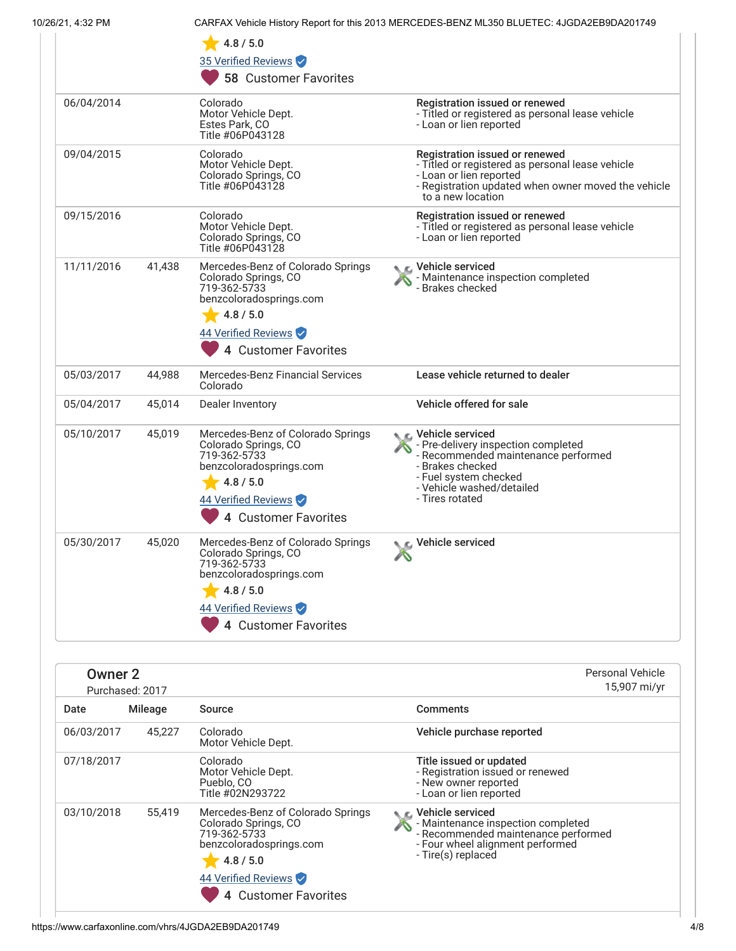|  |  |  | 10/26/21, 4:32 PM |  |  |
|--|--|--|-------------------|--|--|
|  |  |  |                   |  |  |

CARFAX Vehicle History Report for this 2013 MERCEDES-BENZ ML350 BLUETEC: 4JGDA2EB9DA201749

|            |        | 4.8 / 5.0<br>35 Verified Reviews<br><b>58 Customer Favorites</b>                                                                                                 |                                                                                                                                                                                             |
|------------|--------|------------------------------------------------------------------------------------------------------------------------------------------------------------------|---------------------------------------------------------------------------------------------------------------------------------------------------------------------------------------------|
| 06/04/2014 |        | Colorado<br>Motor Vehicle Dept.<br>Estes Park, CO<br>Title #06P043128                                                                                            | Registration issued or renewed<br>- Titled or registered as personal lease vehicle<br>- Loan or lien reported                                                                               |
| 09/04/2015 |        | Colorado<br>Motor Vehicle Dept.<br>Colorado Springs, CO<br>Title #06P043128                                                                                      | Registration issued or renewed<br>- Titled or registered as personal lease vehicle<br>- Loan or lien reported<br>- Registration updated when owner moved the vehicle<br>to a new location   |
| 09/15/2016 |        | Colorado<br>Motor Vehicle Dept.<br>Colorado Springs, CO<br>Title #06P043128                                                                                      | Registration issued or renewed<br>- Titled or registered as personal lease vehicle<br>- Loan or lien reported                                                                               |
| 11/11/2016 | 41,438 | Mercedes-Benz of Colorado Springs<br>Colorado Springs, CO<br>719-362-5733<br>benzcoloradosprings.com<br>4.8 / 5.0<br>44 Verified Reviews<br>4 Customer Favorites | C Vehicle serviced<br>- Maintenance inspection completed<br>- Brakes checked                                                                                                                |
| 05/03/2017 | 44,988 | <b>Mercedes-Benz Financial Services</b><br>Colorado                                                                                                              | Lease vehicle returned to dealer                                                                                                                                                            |
| 05/04/2017 | 45,014 | Dealer Inventory                                                                                                                                                 | Vehicle offered for sale                                                                                                                                                                    |
| 05/10/2017 | 45,019 | Mercedes-Benz of Colorado Springs<br>Colorado Springs, CO<br>719-362-5733<br>benzcoloradosprings.com<br>4.8 / 5.0<br>44 Verified Reviews<br>4 Customer Favorites | Vehicle serviced<br>- Pre-delivery inspection completed<br>- Recommended maintenance performed<br>- Brakes checked<br>- Fuel system checked<br>- Vehicle washed/detailed<br>- Tires rotated |
| 05/30/2017 | 45,020 | Mercedes-Benz of Colorado Springs<br>Colorado Springs, CO<br>719-362-5733<br>benzcoloradosprings.com<br>4.8 / 5.0<br>44 Verified Reviews<br>4 Customer Favorites | Vehicle serviced                                                                                                                                                                            |

| Owner 2<br>Purchased: 2017 |                |                                                                                                                                                                       |                                                                                                                                                         | <b>Personal Vehicle</b><br>15,907 mi/yr |
|----------------------------|----------------|-----------------------------------------------------------------------------------------------------------------------------------------------------------------------|---------------------------------------------------------------------------------------------------------------------------------------------------------|-----------------------------------------|
| Date                       | <b>Mileage</b> | Source                                                                                                                                                                | <b>Comments</b>                                                                                                                                         |                                         |
| 06/03/2017                 | 45.227         | Colorado<br>Motor Vehicle Dept.                                                                                                                                       | Vehicle purchase reported                                                                                                                               |                                         |
| 07/18/2017                 |                | Colorado<br>Motor Vehicle Dept.<br>Pueblo, CO<br>Title #02N293722                                                                                                     | Title issued or updated<br>- Registration issued or renewed<br>- New owner reported<br>- Loan or lien reported                                          |                                         |
| 03/10/2018                 | 55,419         | Mercedes-Benz of Colorado Springs<br>Colorado Springs, CO<br>719-362-5733<br>benzcoloradosprings.com<br>4.8 / 5.0<br>44 Verified Reviews<br><b>Customer Favorites</b> | Vehicle serviced<br>- Maintenance inspection completed<br>- Recommended maintenance performed<br>- Four wheel alignment performed<br>- Tire(s) replaced |                                         |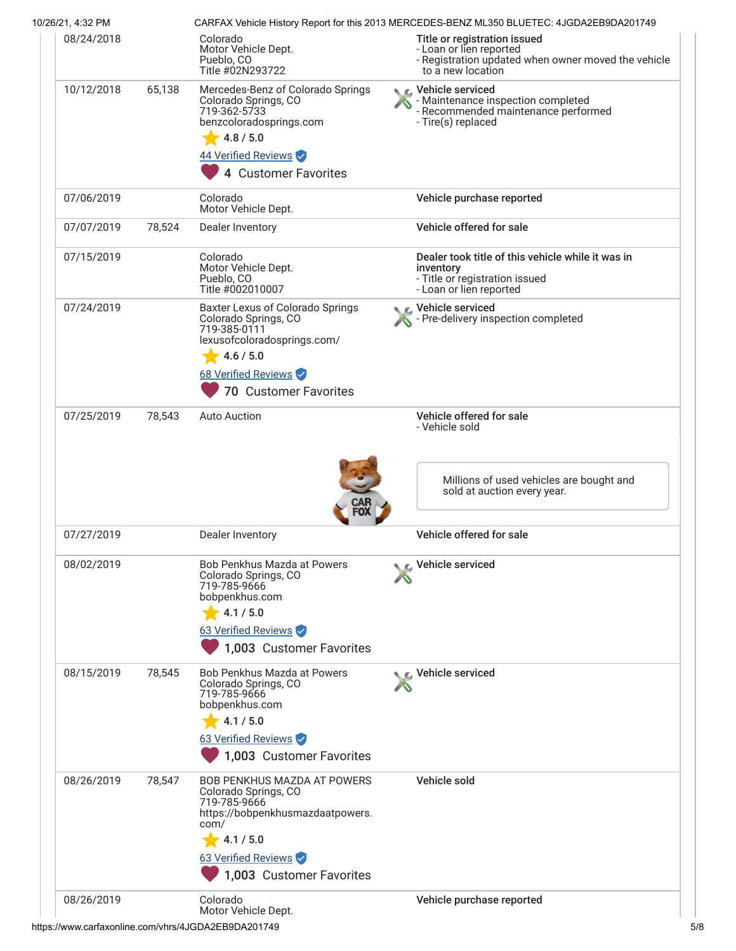| 10/26/21, 4:32 PM |        |                                                                                                                                                                                        | CARFAX Vehicle History Report for this 2013 MERCEDES-BENZ ML350 BLUETEC: 4JGDA2EB9DA201749                                          |
|-------------------|--------|----------------------------------------------------------------------------------------------------------------------------------------------------------------------------------------|-------------------------------------------------------------------------------------------------------------------------------------|
| 08/24/2018        |        | Colorado<br>Motor Vehicle Dept.<br>Pueblo, CO<br>Title #02N293722                                                                                                                      | Title or registration issued<br>- Loan or lien reported<br>- Registration updated when owner moved the vehicle<br>to a new location |
| 10/12/2018        | 65,138 | Mercedes-Benz of Colorado Springs<br>Colorado Springs, CO<br>719-362-5733<br>benzcoloradosprings.com<br>4.8 / 5.0<br>44 Verified Reviews<br>4 Customer Favorites                       | Vehicle serviced<br>- Maintenance inspection completed<br>- Recommended maintenance performed<br>- Tire(s) replaced                 |
| 07/06/2019        |        | Colorado<br>Motor Vehicle Dept.                                                                                                                                                        | Vehicle purchase reported                                                                                                           |
| 07/07/2019        | 78,524 | Dealer Inventory                                                                                                                                                                       | Vehicle offered for sale                                                                                                            |
| 07/15/2019        |        | Colorado<br>Motor Vehicle Dept.<br>Pueblo, CO<br>Title #002010007                                                                                                                      | Dealer took title of this vehicle while it was in<br>inventory<br>- Title or registration issued<br>- Loan or lien reported         |
| 07/24/2019        |        | Baxter Lexus of Colorado Springs<br>Colorado Springs, CO<br>719-385-0111<br>lexusofcoloradosprings.com/<br>4.6 / 5.0<br>68 Verified Reviews<br><b>70 Customer Favorites</b>            | Vehicle serviced<br>Pre-delivery inspection completed                                                                               |
| 07/25/2019        | 78,543 | <b>Auto Auction</b>                                                                                                                                                                    | Vehicle offered for sale<br>- Vehicle sold                                                                                          |
|                   |        |                                                                                                                                                                                        | Millions of used vehicles are bought and<br>sold at auction every year.                                                             |
| 07/27/2019        |        | Dealer Inventory                                                                                                                                                                       | Vehicle offered for sale                                                                                                            |
| 08/02/2019        |        | <b>Bob Penkhus Mazda at Powers</b><br>Colorado Springs, CO<br>719-785-9666<br>bobpenkhus.com<br>4.1 / 5.0<br>63 Verified Reviews<br>1,003 Customer Favorites                           | Vehicle serviced                                                                                                                    |
| 08/15/2019        | 78,545 | <b>Bob Penkhus Mazda at Powers</b><br>Colorado Springs, CO<br>719-785-9666<br>bobpenkhus.com<br>4.1 / 5.0<br>63 Verified Reviews<br>1,003 Customer Favorites                           | Vehicle serviced                                                                                                                    |
| 08/26/2019        | 78,547 | <b>BOB PENKHUS MAZDA AT POWERS</b><br>Colorado Springs, CO<br>719-785-9666<br>https://bobpenkhusmazdaatpowers.<br>com/<br>4.1 / 5.0<br>63 Verified Reviews<br>1,003 Customer Favorites | Vehicle sold                                                                                                                        |
| 08/26/2019        |        | Colorado<br>Motor Vehicle Dept.                                                                                                                                                        | Vehicle purchase reported                                                                                                           |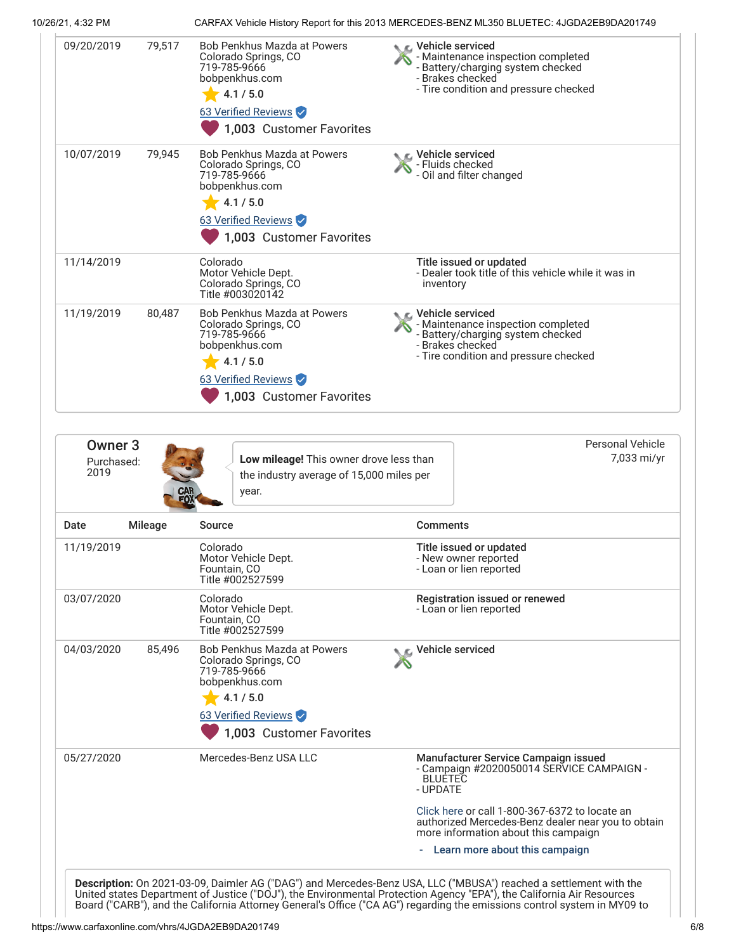10/26/21, 4:32 PM CARFAX Vehicle History Report for this 2013 MERCEDES-BENZ ML350 BLUETEC: 4JGDA2EB9DA201749

| 09/20/2019                                                   | 79,517  | <b>Bob Penkhus Mazda at Powers</b><br>Colorado Springs, CO<br>719-785-9666<br>bobpenkhus.com<br>4.1 / 5.0<br>63 Verified Reviews<br>1,003 Customer Favorites | C Vehicle serviced<br>- Brakes checked | - Maintenance inspection completed<br>- Battery/charging system checked<br>- Tire condition and pressure checked                                                                          |
|--------------------------------------------------------------|---------|--------------------------------------------------------------------------------------------------------------------------------------------------------------|----------------------------------------|-------------------------------------------------------------------------------------------------------------------------------------------------------------------------------------------|
| 10/07/2019                                                   | 79,945  | Bob Penkhus Mazda at Powers<br>Colorado Springs, CO<br>719-785-9666<br>bobpenkhus.com<br>4.1 / 5.0<br>63 Verified Reviews<br>1,003 Customer Favorites        | C Vehicle serviced<br>- Fluids checked | - Oil and filter changed                                                                                                                                                                  |
| 11/14/2019                                                   |         | Colorado<br>Motor Vehicle Dept.<br>Colorado Springs, CO<br>Title #003020142                                                                                  | inventory                              | Title issued or updated<br>- Dealer took title of this vehicle while it was in                                                                                                            |
| 11/19/2019                                                   | 80,487  | Bob Penkhus Mazda at Powers<br>Colorado Springs, CO<br>719-785-9666<br>bobpenkhus.com<br>4.1 / 5.0<br>63 Verified Reviews<br>1,003 Customer Favorites        | C Vehicle serviced<br>- Brakes checked | - Maintenance inspection completed<br>- Battery/charging system checked<br>- Tire condition and pressure checked                                                                          |
|                                                              |         |                                                                                                                                                              |                                        |                                                                                                                                                                                           |
| Owner <sub>3</sub><br>Purchased:<br>2019                     |         | Low mileage! This owner drove less than<br>the industry average of 15,000 miles per<br>year.                                                                 |                                        | <b>Personal Vehicle</b><br>7,033 mi/yr                                                                                                                                                    |
|                                                              | Mileage | Source                                                                                                                                                       | <b>Comments</b>                        |                                                                                                                                                                                           |
|                                                              |         | Colorado<br>Motor Vehicle Dept.<br>Fountain, CO<br>Title #002527599                                                                                          |                                        | Title issued or updated<br>- New owner reported<br>- Loan or lien reported                                                                                                                |
|                                                              |         | Colorado<br>Motor Vehicle Dept.<br>Fountain, CO<br>Title #002527599                                                                                          |                                        | Registration issued or renewed<br>- Loan or lien reported                                                                                                                                 |
|                                                              | 85,496  | Bob Penkhus Mazda at Powers<br>Colorado Springs, CO<br>719-785-9666<br>bobpenkhus.com<br>4.1 / 5.0<br>63 Verified Reviews<br>1,003 Customer Favorites        | Vehicle serviced                       |                                                                                                                                                                                           |
| Date<br>11/19/2019<br>03/07/2020<br>04/03/2020<br>05/27/2020 |         | Mercedes-Benz USA LLC                                                                                                                                        | <b>BLUETEC</b><br>- UPDATE             | Manufacturer Service Campaign issued<br>- Campaign #2020050014 SERVICE CAMPAIGN -<br>Click here or call 1-800-367-6372 to locate an<br>authorized Mercedes-Benz dealer near you to obtain |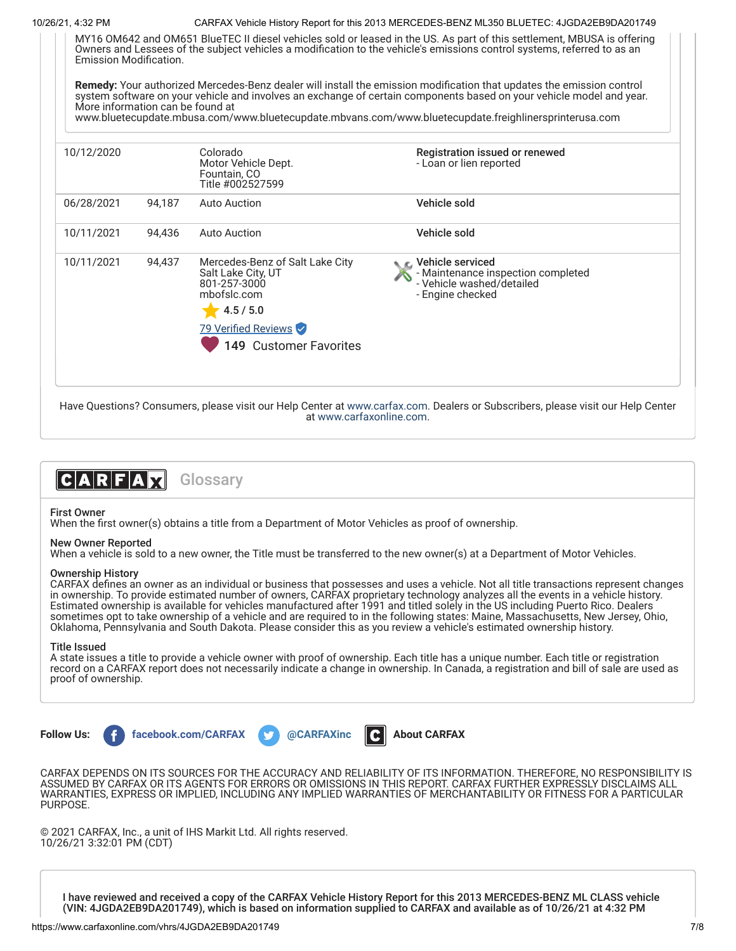10/26/21, 4:32 PM CARFAX Vehicle History Report for this 2013 MERCEDES-BENZ ML350 BLUETEC: 4JGDA2EB9DA201749



Have Questions? Consumers, please visit our Help Center at [www.carfax.com](http://www.carfax.com/help). Dealers or Subscribers, please visit our Help Center at [www.carfaxonline.com.](http://www.carfaxonline.com/)



First Owner

When the first owner(s) obtains a title from a Department of Motor Vehicles as proof of ownership.

# New Owner Reported

When a vehicle is sold to a new owner, the Title must be transferred to the new owner(s) at a Department of Motor Vehicles.

## Ownership History

CARFAX defines an owner as an individual or business that possesses and uses a vehicle. Not all title transactions represent changes in ownership. To provide estimated number of owners, CARFAX proprietary technology analyzes all the events in a vehicle history. Estimated ownership is available for vehicles manufactured after 1991 and titled solely in the US including Puerto Rico. Dealers sometimes opt to take ownership of a vehicle and are required to in the following states: Maine, Massachusetts, New Jersey, Ohio, Oklahoma, Pennsylvania and South Dakota. Please consider this as you review a vehicle's estimated ownership history.

## Title Issued

A state issues a title to provide a vehicle owner with proof of ownership. Each title has a unique number. Each title or registration record on a CARFAX report does not necessarily indicate a change in ownership. In Canada, a registration and bill of sale are used as proof of ownership.



CARFAX DEPENDS ON ITS SOURCES FOR THE ACCURACY AND RELIABILITY OF ITS INFORMATION. THEREFORE, NO RESPONSIBILITY IS ASSUMED BY CARFAX OR ITS AGENTS FOR ERRORS OR OMISSIONS IN THIS REPORT. CARFAX FURTHER EXPRESSLY DISCLAIMS ALL WARRANTIES, EXPRESS OR IMPLIED, INCLUDING ANY IMPLIED WARRANTIES OF MERCHANTABILITY OR FITNESS FOR A PARTICULAR PURPOSE.

© 2021 CARFAX, Inc., a unit of IHS Markit Ltd. All rights reserved. 10/26/21 3:32:01 PM (CDT)

I have reviewed and received a copy of the CARFAX Vehicle History Report for this 2013 MERCEDES-BENZ ML CLASS vehicle (VIN: 4JGDA2EB9DA201749), which is based on information supplied to CARFAX and available as of 10/26/21 at 4:32 PM